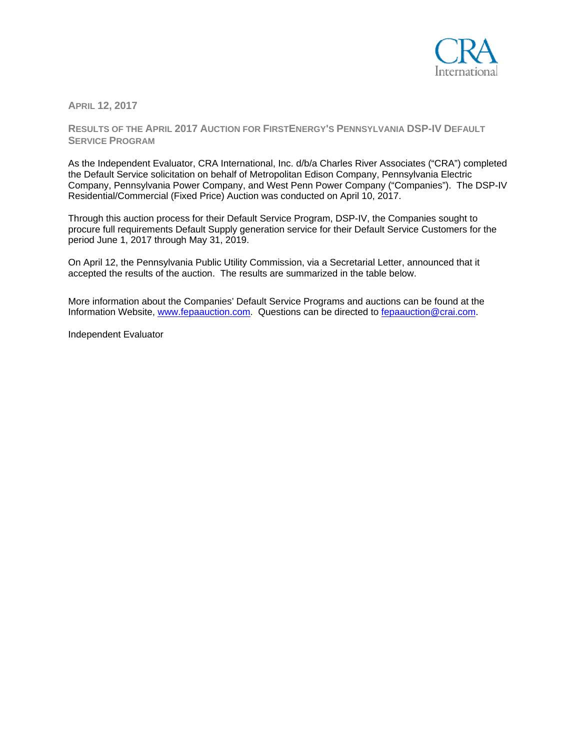

**APRIL 12, 2017** 

**RESULTS OF THE APRIL 2017 AUCTION FOR FIRSTENERGY'S PENNSYLVANIA DSP-IV DEFAULT SERVICE PROGRAM**

As the Independent Evaluator, CRA International, Inc. d/b/a Charles River Associates ("CRA") completed the Default Service solicitation on behalf of Metropolitan Edison Company, Pennsylvania Electric Company, Pennsylvania Power Company, and West Penn Power Company ("Companies"). The DSP-IV Residential/Commercial (Fixed Price) Auction was conducted on April 10, 2017.

Through this auction process for their Default Service Program, DSP-IV, the Companies sought to procure full requirements Default Supply generation service for their Default Service Customers for the period June 1, 2017 through May 31, 2019.

On April 12, the Pennsylvania Public Utility Commission, via a Secretarial Letter, announced that it accepted the results of the auction. The results are summarized in the table below.

More information about the Companies' Default Service Programs and auctions can be found at the Information Website, www.fepaauction.com. Questions can be directed to fepaauction@crai.com.

Independent Evaluator